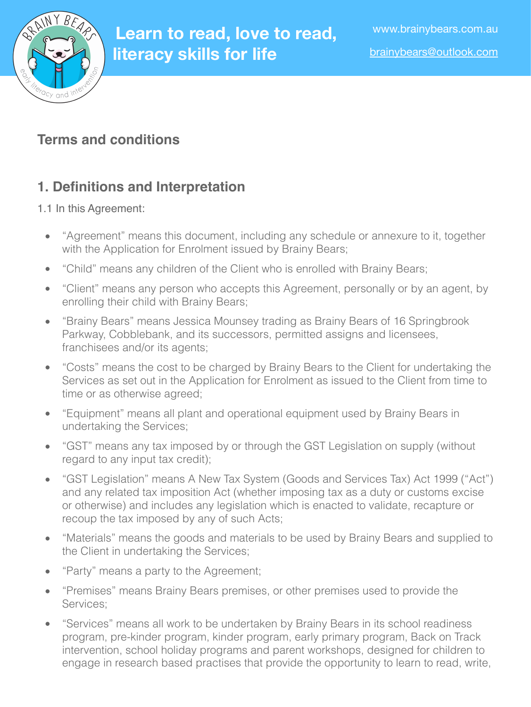

# **Learn to read, love to read, literacy skills for life**

# **Terms and conditions**

# **1. Definitions and Interpretation**

#### 1.1 In this Agreement:

- "Agreement" means this document, including any schedule or annexure to it, together with the Application for Enrolment issued by Brainy Bears;
- "Child" means any children of the Client who is enrolled with Brainy Bears;
- "Client" means any person who accepts this Agreement, personally or by an agent, by enrolling their child with Brainy Bears;
- "Brainy Bears" means Jessica Mounsey trading as Brainy Bears of 16 Springbrook Parkway, Cobblebank, and its successors, permitted assigns and licensees, franchisees and/or its agents;
- "Costs" means the cost to be charged by Brainy Bears to the Client for undertaking the Services as set out in the Application for Enrolment as issued to the Client from time to time or as otherwise agreed;
- "Equipment" means all plant and operational equipment used by Brainy Bears in undertaking the Services;
- "GST" means any tax imposed by or through the GST Legislation on supply (without regard to any input tax credit);
- "GST Legislation" means A New Tax System (Goods and Services Tax) Act 1999 ("Act") and any related tax imposition Act (whether imposing tax as a duty or customs excise or otherwise) and includes any legislation which is enacted to validate, recapture or recoup the tax imposed by any of such Acts;
- "Materials" means the goods and materials to be used by Brainy Bears and supplied to the Client in undertaking the Services;
- "Party" means a party to the Agreement;
- "Premises" means Brainy Bears premises, or other premises used to provide the Services;
- "Services" means all work to be undertaken by Brainy Bears in its school readiness program, pre-kinder program, kinder program, early primary program, Back on Track intervention, school holiday programs and parent workshops, designed for children to engage in research based practises that provide the opportunity to learn to read, write,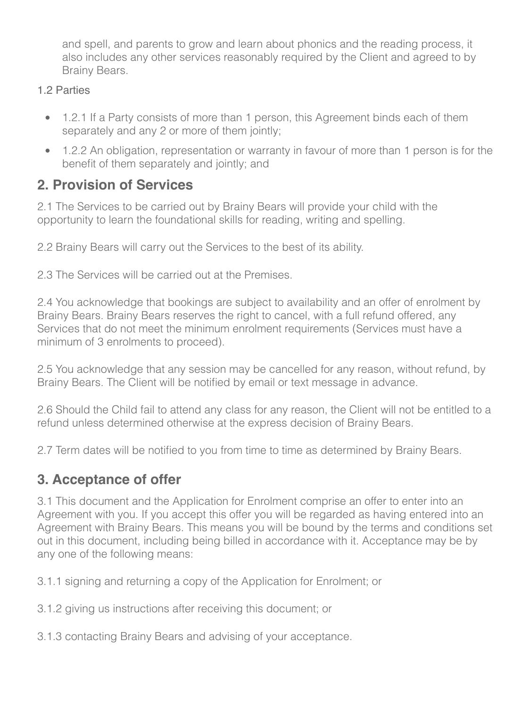and spell, and parents to grow and learn about phonics and the reading process, it also includes any other services reasonably required by the Client and agreed to by Brainy Bears.

- 1.2 Parties
	- 1.2.1 If a Party consists of more than 1 person, this Agreement binds each of them separately and any 2 or more of them jointly;
	- 1.2.2 An obligation, representation or warranty in favour of more than 1 person is for the benefit of them separately and jointly; and

# **2. Provision of Services**

2.1 The Services to be carried out by Brainy Bears will provide your child with the opportunity to learn the foundational skills for reading, writing and spelling.

2.2 Brainy Bears will carry out the Services to the best of its ability.

2.3 The Services will be carried out at the Premises.

2.4 You acknowledge that bookings are subject to availability and an offer of enrolment by Brainy Bears. Brainy Bears reserves the right to cancel, with a full refund offered, any Services that do not meet the minimum enrolment requirements (Services must have a minimum of 3 enrolments to proceed).

2.5 You acknowledge that any session may be cancelled for any reason, without refund, by Brainy Bears. The Client will be notified by email or text message in advance.

2.6 Should the Child fail to attend any class for any reason, the Client will not be entitled to a refund unless determined otherwise at the express decision of Brainy Bears.

2.7 Term dates will be notified to you from time to time as determined by Brainy Bears.

# **3. Acceptance of offer**

3.1 This document and the Application for Enrolment comprise an offer to enter into an Agreement with you. If you accept this offer you will be regarded as having entered into an Agreement with Brainy Bears. This means you will be bound by the terms and conditions set out in this document, including being billed in accordance with it. Acceptance may be by any one of the following means:

3.1.1 signing and returning a copy of the Application for Enrolment; or

3.1.2 giving us instructions after receiving this document; or

3.1.3 contacting Brainy Bears and advising of your acceptance.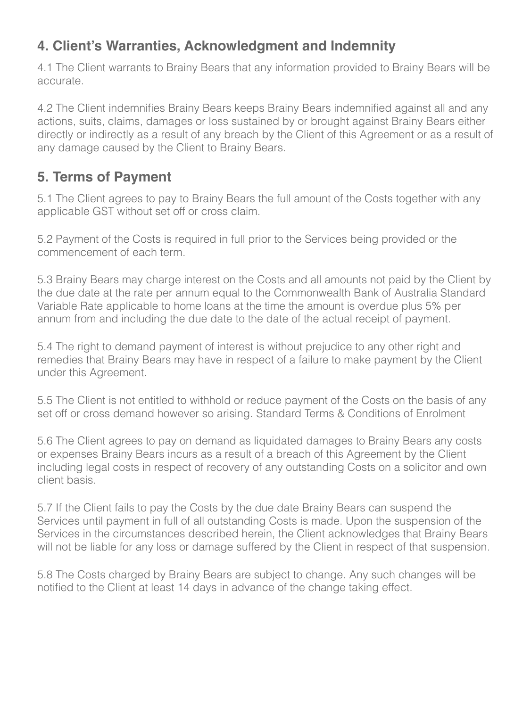### **4. Client's Warranties, Acknowledgment and Indemnity**

4.1 The Client warrants to Brainy Bears that any information provided to Brainy Bears will be accurate.

4.2 The Client indemnifies Brainy Bears keeps Brainy Bears indemnified against all and any actions, suits, claims, damages or loss sustained by or brought against Brainy Bears either directly or indirectly as a result of any breach by the Client of this Agreement or as a result of any damage caused by the Client to Brainy Bears.

#### **5. Terms of Payment**

5.1 The Client agrees to pay to Brainy Bears the full amount of the Costs together with any applicable GST without set off or cross claim.

5.2 Payment of the Costs is required in full prior to the Services being provided or the commencement of each term.

5.3 Brainy Bears may charge interest on the Costs and all amounts not paid by the Client by the due date at the rate per annum equal to the Commonwealth Bank of Australia Standard Variable Rate applicable to home loans at the time the amount is overdue plus 5% per annum from and including the due date to the date of the actual receipt of payment.

5.4 The right to demand payment of interest is without prejudice to any other right and remedies that Brainy Bears may have in respect of a failure to make payment by the Client under this Agreement.

5.5 The Client is not entitled to withhold or reduce payment of the Costs on the basis of any set off or cross demand however so arising. Standard Terms & Conditions of Enrolment

5.6 The Client agrees to pay on demand as liquidated damages to Brainy Bears any costs or expenses Brainy Bears incurs as a result of a breach of this Agreement by the Client including legal costs in respect of recovery of any outstanding Costs on a solicitor and own client basis.

5.7 If the Client fails to pay the Costs by the due date Brainy Bears can suspend the Services until payment in full of all outstanding Costs is made. Upon the suspension of the Services in the circumstances described herein, the Client acknowledges that Brainy Bears will not be liable for any loss or damage suffered by the Client in respect of that suspension.

5.8 The Costs charged by Brainy Bears are subject to change. Any such changes will be notified to the Client at least 14 days in advance of the change taking effect.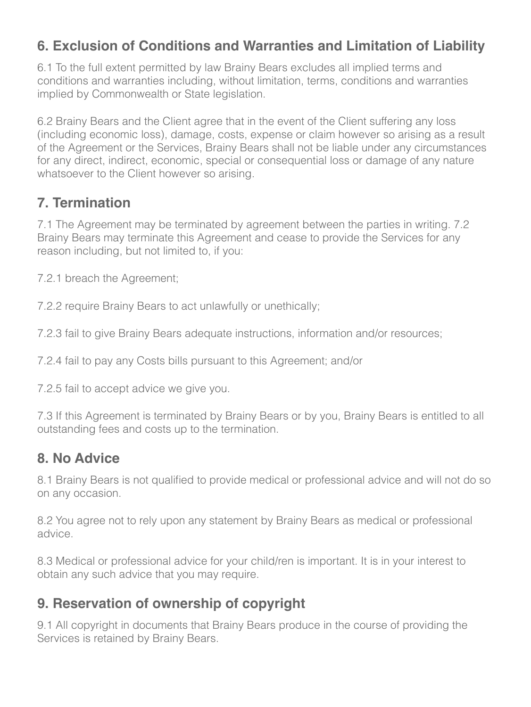#### **6. Exclusion of Conditions and Warranties and Limitation of Liability**

6.1 To the full extent permitted by law Brainy Bears excludes all implied terms and conditions and warranties including, without limitation, terms, conditions and warranties implied by Commonwealth or State legislation.

6.2 Brainy Bears and the Client agree that in the event of the Client suffering any loss (including economic loss), damage, costs, expense or claim however so arising as a result of the Agreement or the Services, Brainy Bears shall not be liable under any circumstances for any direct, indirect, economic, special or consequential loss or damage of any nature whatsoever to the Client however so arising.

### **7. Termination**

7.1 The Agreement may be terminated by agreement between the parties in writing. 7.2 Brainy Bears may terminate this Agreement and cease to provide the Services for any reason including, but not limited to, if you:

7.2.1 breach the Agreement;

7.2.2 require Brainy Bears to act unlawfully or unethically;

7.2.3 fail to give Brainy Bears adequate instructions, information and/or resources;

7.2.4 fail to pay any Costs bills pursuant to this Agreement; and/or

7.2.5 fail to accept advice we give you.

7.3 If this Agreement is terminated by Brainy Bears or by you, Brainy Bears is entitled to all outstanding fees and costs up to the termination.

#### **8. No Advice**

8.1 Brainy Bears is not qualified to provide medical or professional advice and will not do so on any occasion.

8.2 You agree not to rely upon any statement by Brainy Bears as medical or professional advice.

8.3 Medical or professional advice for your child/ren is important. It is in your interest to obtain any such advice that you may require.

# **9. Reservation of ownership of copyright**

9.1 All copyright in documents that Brainy Bears produce in the course of providing the Services is retained by Brainy Bears.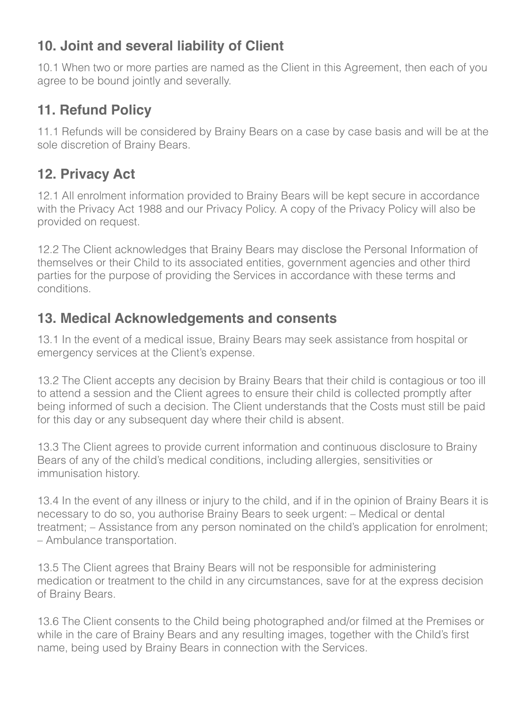# **10. Joint and several liability of Client**

10.1 When two or more parties are named as the Client in this Agreement, then each of you agree to be bound jointly and severally.

### **11. Refund Policy**

11.1 Refunds will be considered by Brainy Bears on a case by case basis and will be at the sole discretion of Brainy Bears.

# **12. Privacy Act**

12.1 All enrolment information provided to Brainy Bears will be kept secure in accordance with the Privacy Act 1988 and our Privacy Policy. A copy of the Privacy Policy will also be provided on request.

12.2 The Client acknowledges that Brainy Bears may disclose the Personal Information of themselves or their Child to its associated entities, government agencies and other third parties for the purpose of providing the Services in accordance with these terms and conditions.

### **13. Medical Acknowledgements and consents**

13.1 In the event of a medical issue, Brainy Bears may seek assistance from hospital or emergency services at the Client's expense.

13.2 The Client accepts any decision by Brainy Bears that their child is contagious or too ill to attend a session and the Client agrees to ensure their child is collected promptly after being informed of such a decision. The Client understands that the Costs must still be paid for this day or any subsequent day where their child is absent.

13.3 The Client agrees to provide current information and continuous disclosure to Brainy Bears of any of the child's medical conditions, including allergies, sensitivities or immunisation history.

13.4 In the event of any illness or injury to the child, and if in the opinion of Brainy Bears it is necessary to do so, you authorise Brainy Bears to seek urgent: – Medical or dental treatment; – Assistance from any person nominated on the child's application for enrolment; – Ambulance transportation.

13.5 The Client agrees that Brainy Bears will not be responsible for administering medication or treatment to the child in any circumstances, save for at the express decision of Brainy Bears.

13.6 The Client consents to the Child being photographed and/or filmed at the Premises or while in the care of Brainy Bears and any resulting images, together with the Child's first name, being used by Brainy Bears in connection with the Services.